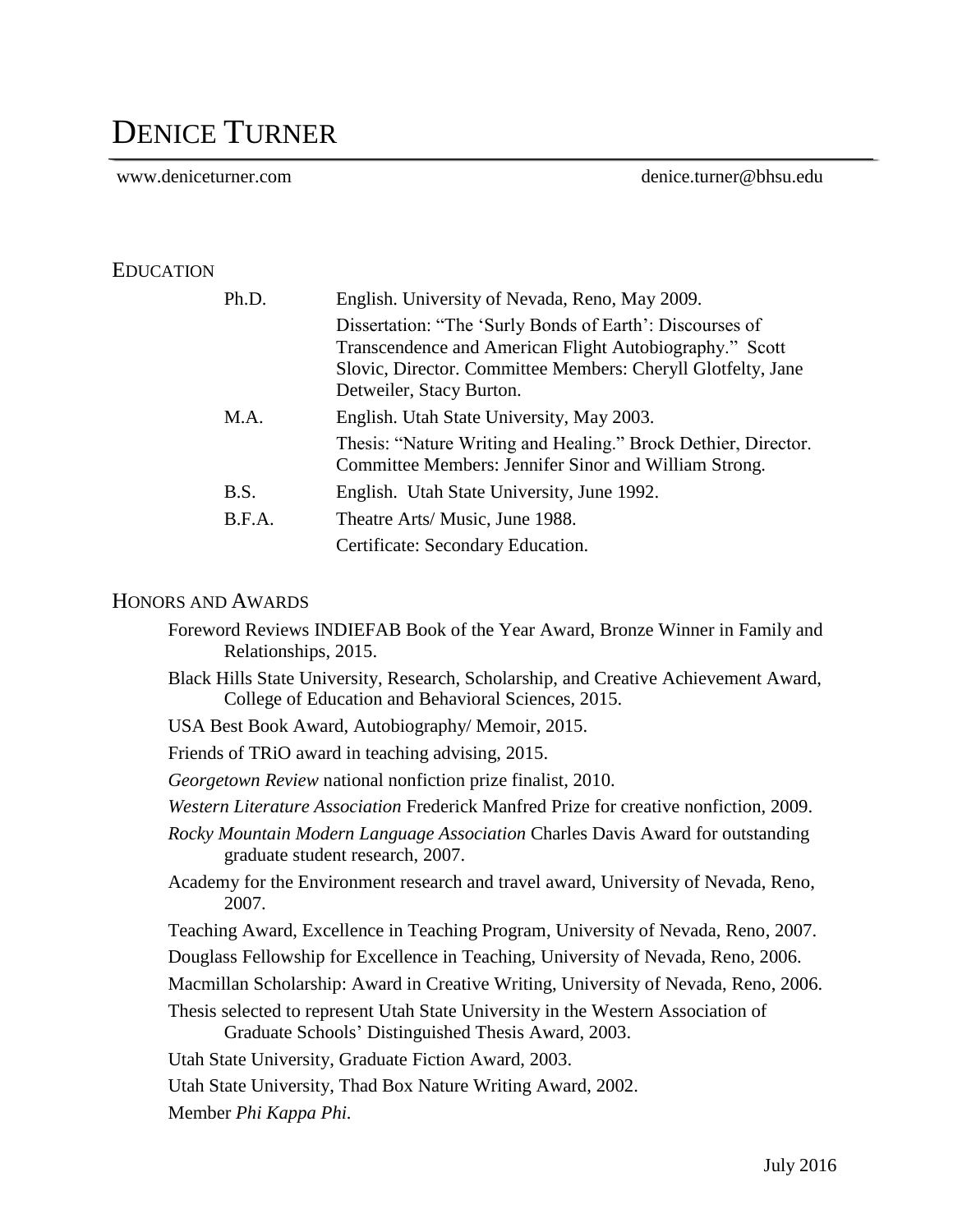# DENICE TURNER

www.deniceturner.com denice.turner@bhsu.edu

## EDUCATION

| Ph.D.  | English. University of Nevada, Reno, May 2009.                                                                                                                                      |
|--------|-------------------------------------------------------------------------------------------------------------------------------------------------------------------------------------|
|        | Dissertation: "The 'Surly Bonds of Earth': Discourses of<br>Transcendence and American Flight Autobiography." Scott<br>Slovic, Director. Committee Members: Cheryll Glotfelty, Jane |
|        | Detweiler, Stacy Burton.                                                                                                                                                            |
| M.A.   | English. Utah State University, May 2003.                                                                                                                                           |
|        | Thesis: "Nature Writing and Healing." Brock Dethier, Director.<br>Committee Members: Jennifer Sinor and William Strong.                                                             |
| B.S.   | English. Utah State University, June 1992.                                                                                                                                          |
| B.F.A. | Theatre Arts/ Music, June 1988.                                                                                                                                                     |
|        | Certificate: Secondary Education.                                                                                                                                                   |

#### HONORS AND AWARDS

- Foreword Reviews INDIEFAB Book of the Year Award, Bronze Winner in Family and Relationships, 2015. Black Hills State University, Research, Scholarship, and Creative Achievement Award, College of Education and Behavioral Sciences, 2015.
- USA Best Book Award, Autobiography/ Memoir, 2015.
- Friends of TRiO award in teaching advising, 2015.
- *Georgetown Review* national nonfiction prize finalist, 2010.
- *Western Literature Association* Frederick Manfred Prize for creative nonfiction, 2009.
- *Rocky Mountain Modern Language Association* Charles Davis Award for outstanding graduate student research, 2007.
- Academy for the Environment research and travel award, University of Nevada, Reno, 2007.
- Teaching Award, Excellence in Teaching Program, University of Nevada, Reno, 2007.
- Douglass Fellowship for Excellence in Teaching, University of Nevada, Reno, 2006.
- Macmillan Scholarship: Award in Creative Writing, University of Nevada, Reno, 2006.
- Thesis selected to represent Utah State University in the Western Association of Graduate Schools' Distinguished Thesis Award, 2003.

Utah State University, Graduate Fiction Award, 2003.

Utah State University, Thad Box Nature Writing Award, 2002.

Member *Phi Kappa Phi.*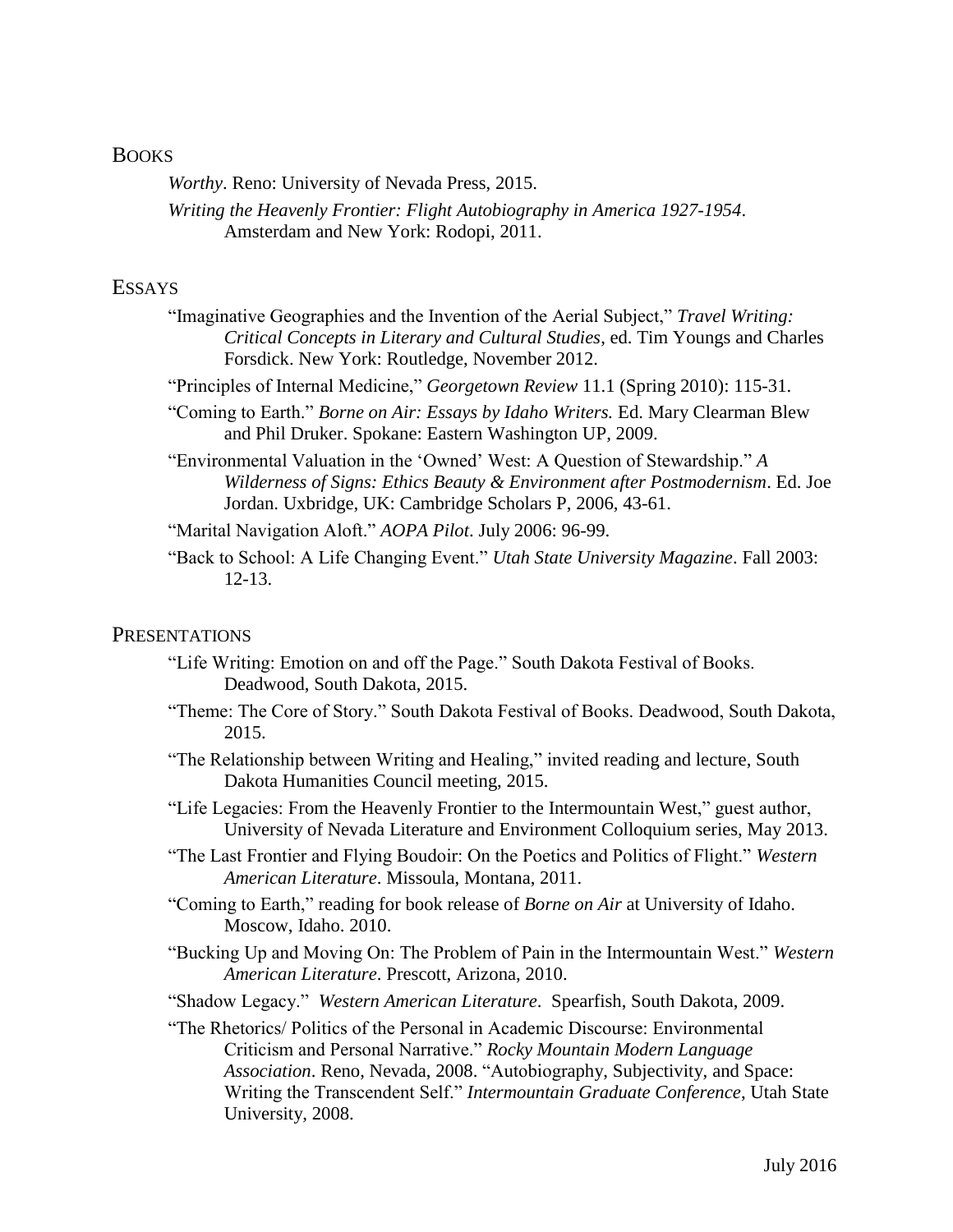#### **BOOKS**

*Worthy*. Reno: University of Nevada Press, 2015.

*Writing the Heavenly Frontier: Flight Autobiography in America 1927-1954*. Amsterdam and New York: Rodopi, 2011.

#### **ESSAYS**

- "Imaginative Geographies and the Invention of the Aerial Subject," *Travel Writing: Critical Concepts in Literary and Cultural Studies*, ed. Tim Youngs and Charles Forsdick. New York: Routledge, November 2012.
- "Principles of Internal Medicine," *Georgetown Review* 11.1 (Spring 2010): 115-31.
- "Coming to Earth." *Borne on Air: Essays by Idaho Writers.* Ed. Mary Clearman Blew and Phil Druker. Spokane: Eastern Washington UP, 2009.
- "Environmental Valuation in the 'Owned' West: A Question of Stewardship." *A Wilderness of Signs: Ethics Beauty & Environment after Postmodernism*. Ed. Joe Jordan. Uxbridge, UK: Cambridge Scholars P, 2006, 43-61.

"Marital Navigation Aloft." *AOPA Pilot*. July 2006: 96-99.

"Back to School: A Life Changing Event." *Utah State University Magazine*. Fall 2003: 12-13.

#### **PRESENTATIONS**

- "Life Writing: Emotion on and off the Page." South Dakota Festival of Books. Deadwood, South Dakota, 2015.
- "Theme: The Core of Story." South Dakota Festival of Books. Deadwood, South Dakota, 2015.
- "The Relationship between Writing and Healing," invited reading and lecture, South Dakota Humanities Council meeting, 2015.
- "Life Legacies: From the Heavenly Frontier to the Intermountain West," guest author, University of Nevada Literature and Environment Colloquium series, May 2013.
- "The Last Frontier and Flying Boudoir: On the Poetics and Politics of Flight." *Western American Literature*. Missoula, Montana, 2011.
- "Coming to Earth," reading for book release of *Borne on Air* at University of Idaho. Moscow, Idaho. 2010.
- "Bucking Up and Moving On: The Problem of Pain in the Intermountain West." *Western American Literature*. Prescott, Arizona, 2010.
- "Shadow Legacy." *Western American Literature*. Spearfish, South Dakota, 2009.
- "The Rhetorics/ Politics of the Personal in Academic Discourse: Environmental Criticism and Personal Narrative." *Rocky Mountain Modern Language Association*. Reno, Nevada, 2008. "Autobiography, Subjectivity, and Space: Writing the Transcendent Self." *Intermountain Graduate Conference*, Utah State University, 2008.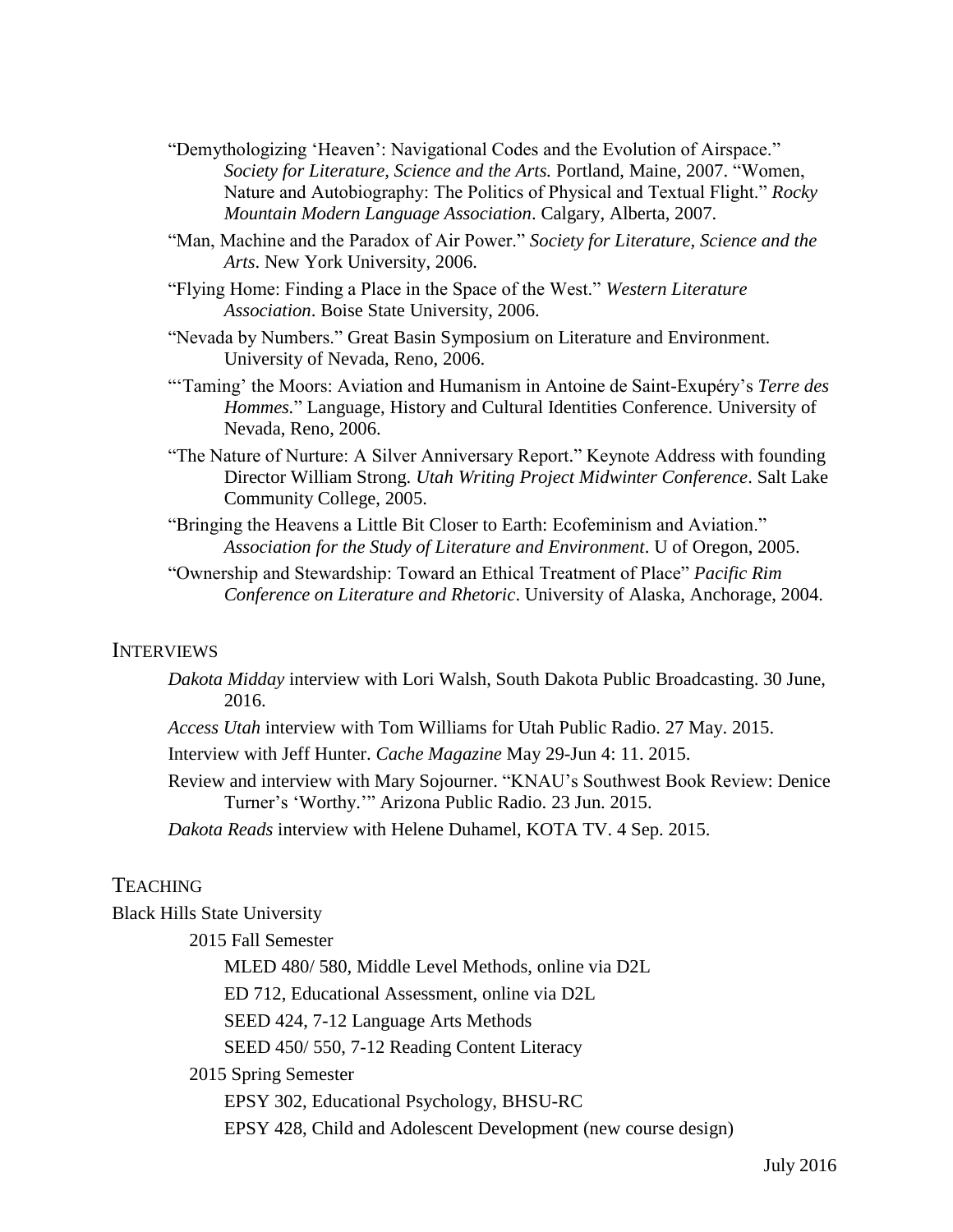- "Demythologizing 'Heaven': Navigational Codes and the Evolution of Airspace." *Society for Literature, Science and the Arts.* Portland, Maine, 2007. "Women, Nature and Autobiography: The Politics of Physical and Textual Flight." *Rocky Mountain Modern Language Association*. Calgary, Alberta, 2007.
- "Man, Machine and the Paradox of Air Power." *Society for Literature, Science and the Arts*. New York University, 2006.
- "Flying Home: Finding a Place in the Space of the West." *Western Literature Association*. Boise State University, 2006.
- "Nevada by Numbers." Great Basin Symposium on Literature and Environment. University of Nevada, Reno, 2006.
- "'Taming' the Moors: Aviation and Humanism in Antoine de Saint-Exupéry's *Terre des Hommes.*" Language, History and Cultural Identities Conference. University of Nevada, Reno, 2006.
- "The Nature of Nurture: A Silver Anniversary Report." Keynote Address with founding Director William Strong. *Utah Writing Project Midwinter Conference*. Salt Lake Community College, 2005.
- "Bringing the Heavens a Little Bit Closer to Earth: Ecofeminism and Aviation." *Association for the Study of Literature and Environment*. U of Oregon, 2005.
- "Ownership and Stewardship: Toward an Ethical Treatment of Place" *Pacific Rim Conference on Literature and Rhetoric*. University of Alaska, Anchorage, 2004.

#### **INTERVIEWS**

- *Dakota Midday* interview with Lori Walsh, South Dakota Public Broadcasting. 30 June, 2016.
- *Access Utah* interview with Tom Williams for Utah Public Radio. 27 May. 2015.

Interview with Jeff Hunter. *Cache Magazine* May 29-Jun 4: 11. 2015.

Review and interview with Mary Sojourner. "KNAU's Southwest Book Review: Denice Turner's 'Worthy.'" Arizona Public Radio. 23 Jun. 2015.

*Dakota Reads* interview with Helene Duhamel, KOTA TV. 4 Sep. 2015.

## **TEACHING**

Black Hills State University

2015 Fall Semester

MLED 480/ 580, Middle Level Methods, online via D2L

ED 712, Educational Assessment, online via D2L

SEED 424, 7-12 Language Arts Methods

SEED 450/ 550, 7-12 Reading Content Literacy

2015 Spring Semester

EPSY 302, Educational Psychology, BHSU-RC

EPSY 428, Child and Adolescent Development (new course design)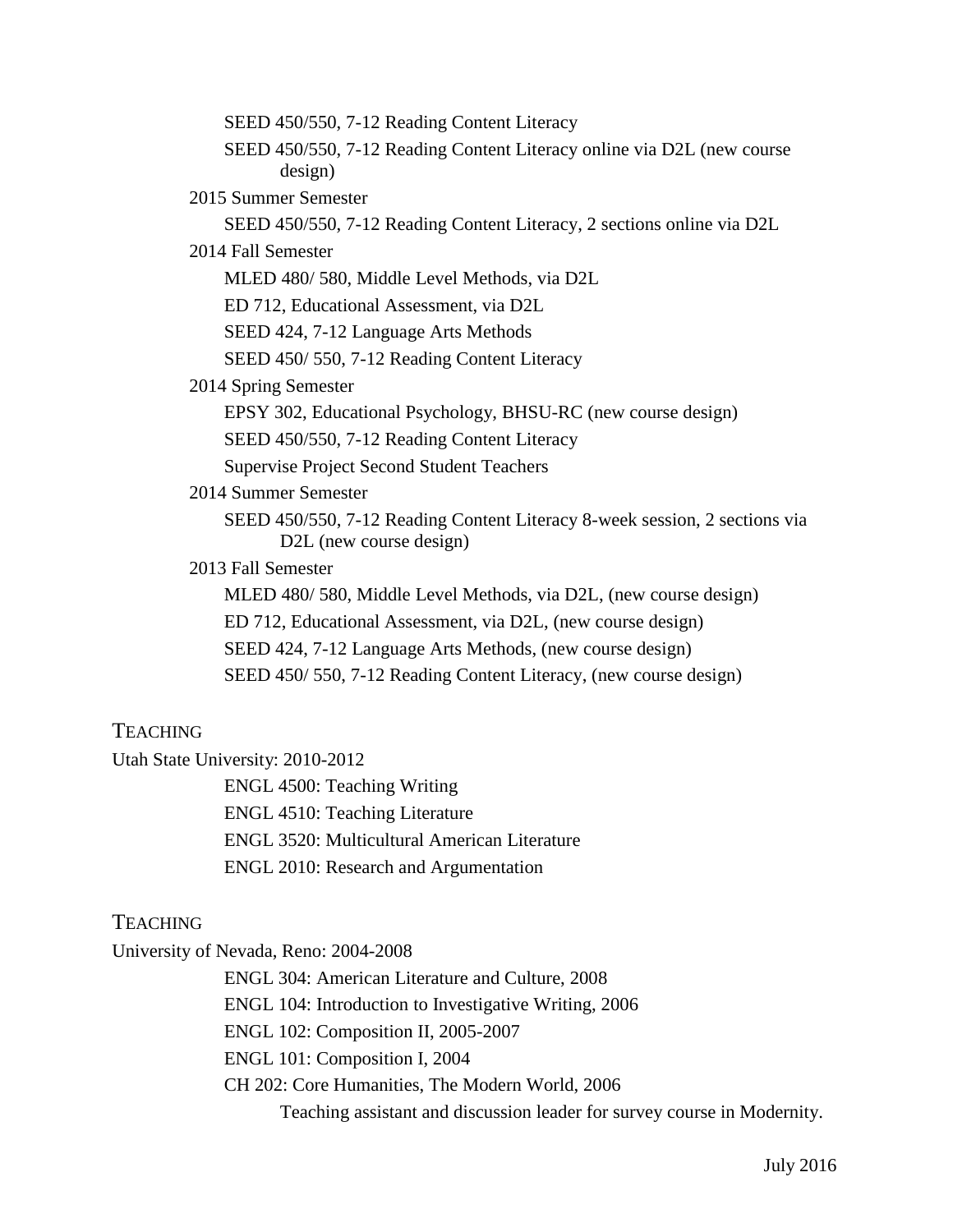SEED 450/550, 7-12 Reading Content Literacy SEED 450/550, 7-12 Reading Content Literacy online via D2L (new course design) 2015 Summer Semester SEED 450/550, 7-12 Reading Content Literacy, 2 sections online via D2L 2014 Fall Semester MLED 480/ 580, Middle Level Methods, via D2L ED 712, Educational Assessment, via D2L SEED 424, 7-12 Language Arts Methods SEED 450/ 550, 7-12 Reading Content Literacy 2014 Spring Semester EPSY 302, Educational Psychology, BHSU-RC (new course design) SEED 450/550, 7-12 Reading Content Literacy Supervise Project Second Student Teachers 2014 Summer Semester SEED 450/550, 7-12 Reading Content Literacy 8-week session, 2 sections via D<sub>2</sub>L (new course design) 2013 Fall Semester MLED 480/ 580, Middle Level Methods, via D2L, (new course design) ED 712, Educational Assessment, via D2L, (new course design) SEED 424, 7-12 Language Arts Methods, (new course design) SEED 450/ 550, 7-12 Reading Content Literacy, (new course design)

# **TEACHING**

Utah State University: 2010-2012

ENGL 4500: Teaching Writing ENGL 4510: Teaching Literature ENGL 3520: Multicultural American Literature ENGL 2010: Research and Argumentation

# **TEACHING**

University of Nevada, Reno: 2004-2008

ENGL 304: American Literature and Culture, 2008

ENGL 104: Introduction to Investigative Writing, 2006

ENGL 102: Composition II, 2005-2007

ENGL 101: Composition I, 2004

CH 202: Core Humanities, The Modern World, 2006

Teaching assistant and discussion leader for survey course in Modernity.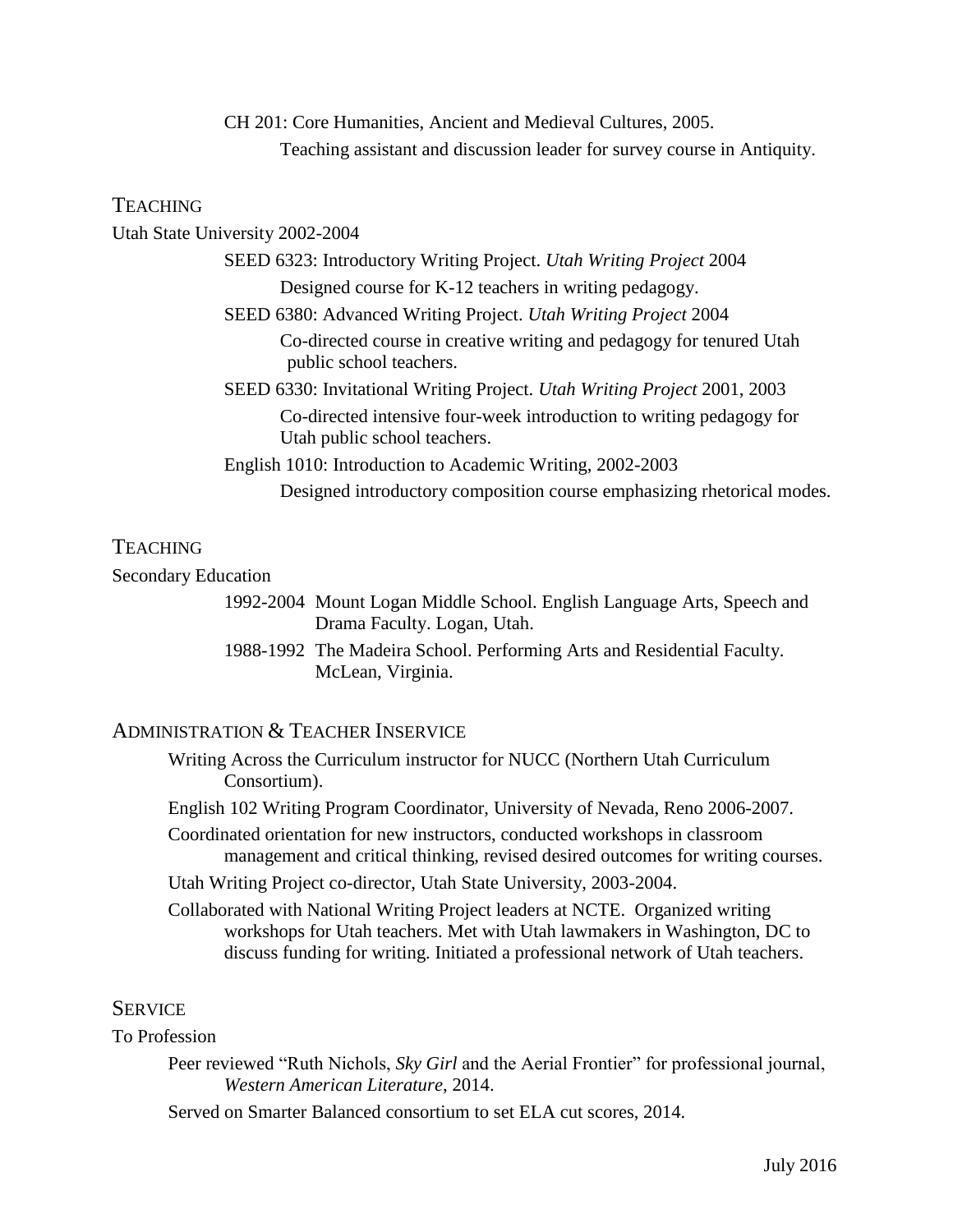CH 201: Core Humanities, Ancient and Medieval Cultures, 2005. Teaching assistant and discussion leader for survey course in Antiquity.

#### **TEACHING**

Utah State University 2002-2004 SEED 6323: Introductory Writing Project. *Utah Writing Project* 2004 Designed course for K-12 teachers in writing pedagogy. SEED 6380: Advanced Writing Project. *Utah Writing Project* 2004 Co-directed course in creative writing and pedagogy for tenured Utah public school teachers. SEED 6330: Invitational Writing Project. *Utah Writing Project* 2001, 2003 Co-directed intensive four-week introduction to writing pedagogy for Utah public school teachers. English 1010: Introduction to Academic Writing, 2002-2003 Designed introductory composition course emphasizing rhetorical modes.

## **TEACHING**

#### Secondary Education

1992-2004 Mount Logan Middle School. English Language Arts, Speech and Drama Faculty. Logan, Utah.

1988-1992 The Madeira School. Performing Arts and Residential Faculty. McLean, Virginia.

# ADMINISTRATION & TEACHER INSERVICE

Writing Across the Curriculum instructor for NUCC (Northern Utah Curriculum Consortium).

English 102 Writing Program Coordinator, University of Nevada, Reno 2006-2007.

Coordinated orientation for new instructors, conducted workshops in classroom management and critical thinking, revised desired outcomes for writing courses.

Utah Writing Project co-director, Utah State University, 2003-2004.

Collaborated with National Writing Project leaders at NCTE. Organized writing workshops for Utah teachers. Met with Utah lawmakers in Washington, DC to discuss funding for writing. Initiated a professional network of Utah teachers.

#### **SERVICE**

#### To Profession

Peer reviewed "Ruth Nichols, *Sky Girl* and the Aerial Frontier" for professional journal, *Western American Literature*, 2014.

Served on Smarter Balanced consortium to set ELA cut scores, 2014.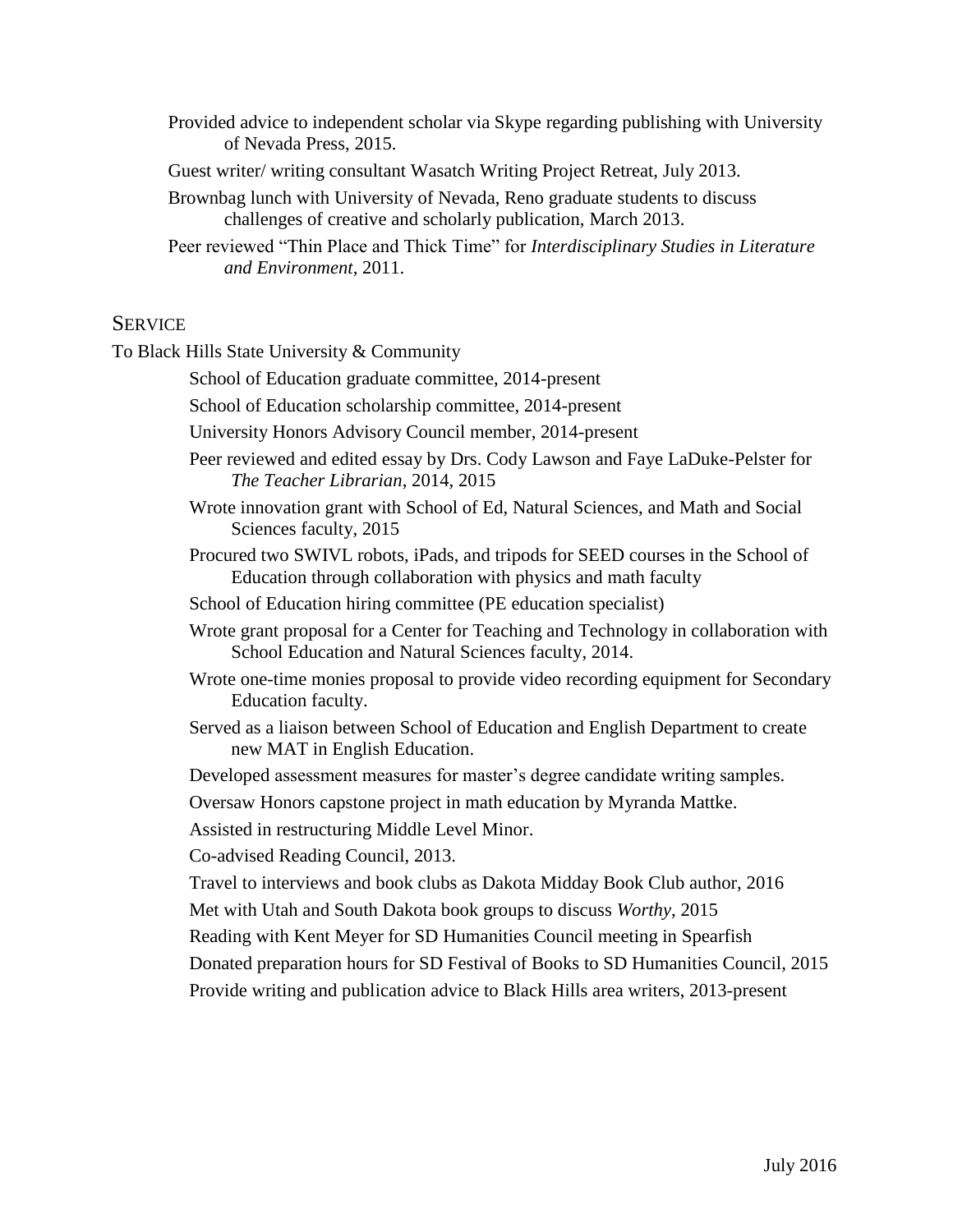- Provided advice to independent scholar via Skype regarding publishing with University of Nevada Press, 2015.
- Guest writer/ writing consultant Wasatch Writing Project Retreat, July 2013.
- Brownbag lunch with University of Nevada, Reno graduate students to discuss challenges of creative and scholarly publication, March 2013.
- Peer reviewed "Thin Place and Thick Time" for *Interdisciplinary Studies in Literature and Environment,* 2011.

# **SERVICE**

To Black Hills State University & Community

- School of Education graduate committee, 2014-present
- School of Education scholarship committee, 2014-present
- University Honors Advisory Council member, 2014-present
- Peer reviewed and edited essay by Drs. Cody Lawson and Faye LaDuke-Pelster for *The Teacher Librarian*, 2014, 2015
- Wrote innovation grant with School of Ed, Natural Sciences, and Math and Social Sciences faculty, 2015
- Procured two SWIVL robots, iPads, and tripods for SEED courses in the School of Education through collaboration with physics and math faculty
- School of Education hiring committee (PE education specialist)
- Wrote grant proposal for a Center for Teaching and Technology in collaboration with School Education and Natural Sciences faculty, 2014.
- Wrote one-time monies proposal to provide video recording equipment for Secondary Education faculty.
- Served as a liaison between School of Education and English Department to create new MAT in English Education.
- Developed assessment measures for master's degree candidate writing samples.

Oversaw Honors capstone project in math education by Myranda Mattke.

Assisted in restructuring Middle Level Minor.

Co-advised Reading Council, 2013.

Travel to interviews and book clubs as Dakota Midday Book Club author, 2016

- Met with Utah and South Dakota book groups to discuss *Worthy*, 2015
- Reading with Kent Meyer for SD Humanities Council meeting in Spearfish
- Donated preparation hours for SD Festival of Books to SD Humanities Council, 2015

Provide writing and publication advice to Black Hills area writers, 2013-present